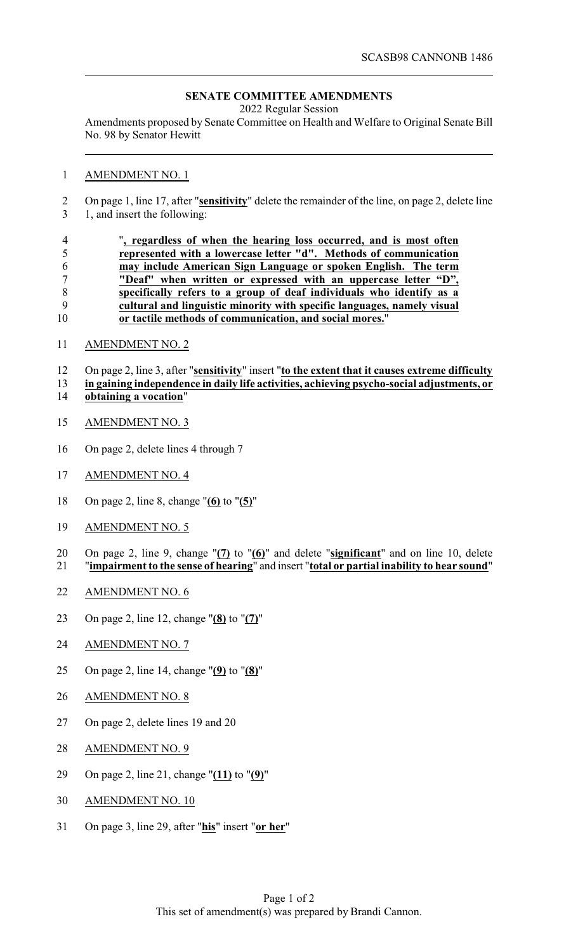## **SENATE COMMITTEE AMENDMENTS**

2022 Regular Session

Amendments proposed by Senate Committee on Health and Welfare to Original Senate Bill No. 98 by Senator Hewitt

## AMENDMENT NO. 1

 On page 1, line 17, after "**sensitivity**" delete the remainder of the line, on page 2, delete line 1, and insert the following:

|    | ", regardless of when the hearing loss occurred, and is most often      |
|----|-------------------------------------------------------------------------|
|    | represented with a lowercase letter "d". Methods of communication       |
|    | may include American Sign Language or spoken English. The term          |
|    | "Deaf" when written or expressed with an uppercase letter "D",          |
|    | specifically refers to a group of deaf individuals who identify as a    |
|    | cultural and linguistic minority with specific languages, namely visual |
| 10 | or tactile methods of communication, and social mores."                 |

AMENDMENT NO. 2

 On page 2, line 3, after "**sensitivity**" insert "**to the extent that it causes extreme difficulty in gaining independence in daily life activities, achieving psycho-social adjustments, or obtaining a vocation**"

- AMENDMENT NO. 3
- On page 2, delete lines 4 through 7
- AMENDMENT NO. 4
- On page 2, line 8, change "**(6)** to "**(5)**"
- AMENDMENT NO. 5
- On page 2, line 9, change "**(7)** to "**(6)**" and delete "**significant**" and on line 10, delete "**impairment to the sense of hearing**" and insert "**total or partial inability to hear sound**"
- AMENDMENT NO. 6
- On page 2, line 12, change "**(8)** to "**(7)**"
- AMENDMENT NO. 7
- On page 2, line 14, change "**(9)** to "**(8)**"
- AMENDMENT NO. 8
- On page 2, delete lines 19 and 20
- AMENDMENT NO. 9
- On page 2, line 21, change "**(11)** to "**(9)**"
- AMENDMENT NO. 10
- On page 3, line 29, after "**his**" insert "**or her**"